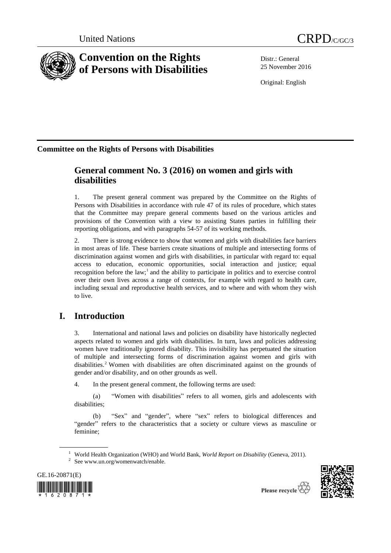



# **Convention on the Rights of Persons with Disabilities**

Distr.: General 25 November 2016

Original: English

## **Committee on the Rights of Persons with Disabilities**

## **General comment No. 3 (2016) on women and girls with disabilities**

1. The present general comment was prepared by the Committee on the Rights of Persons with Disabilities in accordance with rule 47 of its rules of procedure, which states that the Committee may prepare general comments based on the various articles and provisions of the Convention with a view to assisting States parties in fulfilling their reporting obligations, and with paragraphs 54-57 of its working methods.

2. There is strong evidence to show that women and girls with disabilities face barriers in most areas of life. These barriers create situations of multiple and intersecting forms of discrimination against women and girls with disabilities, in particular with regard to: equal access to education, economic opportunities, social interaction and justice; equal recognition before the law;<sup>1</sup> and the ability to participate in politics and to exercise control over their own lives across a range of contexts, for example with regard to health care, including sexual and reproductive health services, and to where and with whom they wish to live.

## **I. Introduction**

3. International and national laws and policies on disability have historically neglected aspects related to women and girls with disabilities. In turn, laws and policies addressing women have traditionally ignored disability. This invisibility has perpetuated the situation of multiple and intersecting forms of discrimination against women and girls with disabilities.<sup>2</sup> Women with disabilities are often discriminated against on the grounds of gender and/or disability, and on other grounds as well.

4. In the present general comment, the following terms are used:

(a) "Women with disabilities" refers to all women, girls and adolescents with disabilities;

(b) "Sex" and "gender", where "sex" refers to biological differences and "gender" refers to the characteristics that a society or culture views as masculine or feminine;

<sup>&</sup>lt;sup>2</sup> See www.un.org/womenwatch/enable.





<sup>&</sup>lt;sup>1</sup> World Health Organization (WHO) and World Bank, *World Report on Disability* (Geneva, 2011).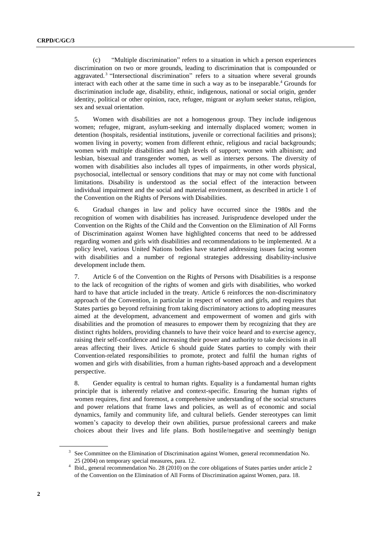(c) "Multiple discrimination" refers to a situation in which a person experiences discrimination on two or more grounds, leading to discrimination that is compounded or aggravated.<sup>3</sup> "Intersectional discrimination" refers to a situation where several grounds interact with each other at the same time in such a way as to be inseparable.<sup>4</sup> Grounds for discrimination include age, disability, ethnic, indigenous, national or social origin, gender identity, political or other opinion, race, refugee, migrant or asylum seeker status, religion, sex and sexual orientation.

5. Women with disabilities are not a homogenous group. They include indigenous women; refugee, migrant, asylum-seeking and internally displaced women; women in detention (hospitals, residential institutions, juvenile or correctional facilities and prisons); women living in poverty; women from different ethnic, religious and racial backgrounds; women with multiple disabilities and high levels of support; women with albinism; and lesbian, bisexual and transgender women, as well as intersex persons. The diversity of women with disabilities also includes all types of impairments, in other words physical, psychosocial, intellectual or sensory conditions that may or may not come with functional limitations. Disability is understood as the social effect of the interaction between individual impairment and the social and material environment, as described in article 1 of the Convention on the Rights of Persons with Disabilities.

6. Gradual changes in law and policy have occurred since the 1980s and the recognition of women with disabilities has increased. Jurisprudence developed under the Convention on the Rights of the Child and the Convention on the Elimination of All Forms of Discrimination against Women have highlighted concerns that need to be addressed regarding women and girls with disabilities and recommendations to be implemented. At a policy level, various United Nations bodies have started addressing issues facing women with disabilities and a number of regional strategies addressing disability-inclusive development include them.

7. Article 6 of the Convention on the Rights of Persons with Disabilities is a response to the lack of recognition of the rights of women and girls with disabilities, who worked hard to have that article included in the treaty. Article 6 reinforces the non-discriminatory approach of the Convention, in particular in respect of women and girls, and requires that States parties go beyond refraining from taking discriminatory actions to adopting measures aimed at the development, advancement and empowerment of women and girls with disabilities and the promotion of measures to empower them by recognizing that they are distinct rights holders, providing channels to have their voice heard and to exercise agency, raising their self-confidence and increasing their power and authority to take decisions in all areas affecting their lives. Article 6 should guide States parties to comply with their Convention-related responsibilities to promote, protect and fulfil the human rights of women and girls with disabilities, from a human rights-based approach and a development perspective.

8. Gender equality is central to human rights. Equality is a fundamental human rights principle that is inherently relative and context-specific. Ensuring the human rights of women requires, first and foremost, a comprehensive understanding of the social structures and power relations that frame laws and policies, as well as of economic and social dynamics, family and community life, and cultural beliefs. Gender stereotypes can limit women's capacity to develop their own abilities, pursue professional careers and make choices about their lives and life plans. Both hostile/negative and seemingly benign

<sup>&</sup>lt;sup>3</sup> See Committee on the Elimination of Discrimination against Women, general recommendation No. 25 (2004) on temporary special measures, para. 12.

<sup>&</sup>lt;sup>4</sup> Ibid., general recommendation No. 28 (2010) on the core obligations of States parties under article 2 of the Convention on the Elimination of All Forms of Discrimination against Women, para. 18.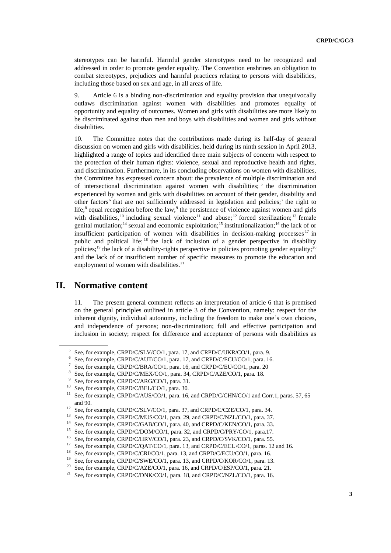stereotypes can be harmful. Harmful gender stereotypes need to be recognized and addressed in order to promote gender equality. The Convention enshrines an obligation to combat stereotypes, prejudices and harmful practices relating to persons with disabilities, including those based on sex and age, in all areas of life.

9. Article 6 is a binding non-discrimination and equality provision that unequivocally outlaws discrimination against women with disabilities and promotes equality of opportunity and equality of outcomes. Women and girls with disabilities are more likely to be discriminated against than men and boys with disabilities and women and girls without disabilities.

10. The Committee notes that the contributions made during its half-day of general discussion on women and girls with disabilities, held during its ninth session in April 2013, highlighted a range of topics and identified three main subjects of concern with respect to the protection of their human rights: violence, sexual and reproductive health and rights, and discrimination. Furthermore, in its concluding observations on women with disabilities, the Committee has expressed concern about: the prevalence of multiple discrimination and of intersectional discrimination against women with disabilities; <sup>5</sup> the discrimination experienced by women and girls with disabilities on account of their gender, disability and other factors<sup>6</sup> that are not sufficiently addressed in legislation and policies;<sup>7</sup> the right to life;<sup>8</sup> equal recognition before the law;<sup>9</sup> the persistence of violence against women and girls with disabilities, <sup>10</sup> including sexual violence<sup>11</sup> and abuse; <sup>12</sup> forced sterilization; <sup>13</sup> female genital mutilation;<sup>14</sup> sexual and economic exploitation;<sup>15</sup> institutionalization;<sup>16</sup> the lack of or insufficient participation of women with disabilities in decision-making processes  $17$  in public and political life; <sup>18</sup> the lack of inclusion of a gender perspective in disability policies;<sup>19</sup> the lack of a disability-rights perspective in policies promoting gender equality;<sup>20</sup> and the lack of or insufficient number of specific measures to promote the education and employment of women with disabilities. $21$ 

## **II. Normative content**

11. The present general comment reflects an interpretation of article 6 that is premised on the general principles outlined in article 3 of the Convention, namely: respect for the inherent dignity, individual autonomy, including the freedom to make one's own choices, and independence of persons; non-discrimination; full and effective participation and inclusion in society; respect for difference and acceptance of persons with disabilities as

<sup>5</sup> See, for example, CRPD/C/SLV/CO/1, para. 17, and CRPD/C/UKR/CO/1, para. 9.

<sup>6</sup> See, for example, CRPD/C/AUT/CO/1, para. 17, and CRPD/C/ECU/CO/1, para. 16.

<sup>7</sup> See, for example, CRPD/C/BRA/CO/1, para. 16, and CRPD/C/EU/CO/1, para. 20

<sup>8</sup> See, for example, CRPD/C/MEX/CO/1, para. 34, CRPD/C/AZE/CO/1, para. 18.

<sup>9</sup> See, for example, CRPD/C/ARG/CO/1, para. 31.

<sup>&</sup>lt;sup>10</sup> See, for example, CRPD/C/BEL/CO/1, para. 30.

See, for example, CRPD/C/AUS/CO/1, para. 16, and CRPD/C/CHN/CO/1 and Corr.1, paras. 57, 65 and 90.

<sup>&</sup>lt;sup>12</sup> See, for example, CRPD/C/SLV/CO/1, para. 37, and CRPD/C/CZE/CO/1, para. 34.

<sup>&</sup>lt;sup>13</sup> See, for example, CRPD/C/MUS/CO/1, para. 29, and CRPD/C/NZL/CO/1, para. 37.<br><sup>14</sup> See for property CRPD/C/CAP/CO/1, para. 40, and CRPD/C/KEN/CO/1, para. 22.

<sup>&</sup>lt;sup>14</sup> See, for example, CRPD/C/GAB/CO/1, para. 40, and CRPD/C/KEN/CO/1, para. 33.<br><sup>15</sup> See for properly CRPD/C/DOM/CO/1, para. 22, and CRPD/C/DDV/CO/1, para. 17

<sup>&</sup>lt;sup>15</sup> See, for example, CRPD/C/DOM/CO/1, para. 32, and CRPD/C/PRY/CO/1, para.17.<br><sup>16</sup> See, for example, CRPD/C/URV/CO/1, para. 22, and CRPD/C/SV*V*/CO/1, para.55.

<sup>&</sup>lt;sup>16</sup> See, for example, CRPD/C/HRV/CO/1, para. 23, and CRPD/C/SVK/CO/1, para. 55.<br><sup>17</sup> See for propella CRPD/C/OAT/CO/1, para. 12, and CRPD/C/ECU/CO/1, paras. 12

See, for example, CRPD/C/QAT/CO/1, para. 13, and CRPD/C/ECU/CO/1, paras. 12 and 16.

<sup>&</sup>lt;sup>18</sup> See, for example, CRPD/C/CRI/CO/1, para. 13, and CRPD/C/ECU/CO/1, para. 16.

<sup>&</sup>lt;sup>19</sup> See, for example, CRPD/C/SWE/CO/1, para. 13, and CRPD/C/KOR/CO/1, para. 13.

<sup>&</sup>lt;sup>20</sup> See, for example, CRPD/C/AZE/CO/1, para. 16, and CRPD/C/ESP/CO/1, para. 21.

<sup>&</sup>lt;sup>21</sup> See, for example, CRPD/C/DNK/CO/1, para. 18, and CRPD/C/NZL/CO/1, para. 16.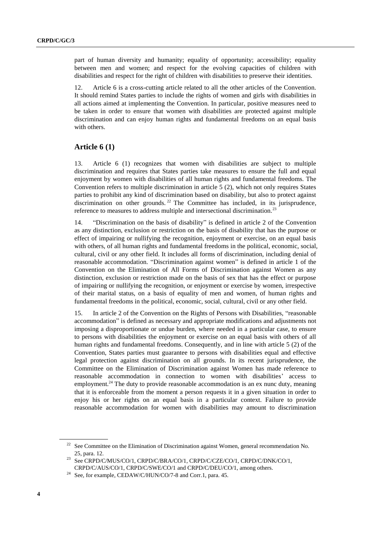part of human diversity and humanity; equality of opportunity; accessibility; equality between men and women; and respect for the evolving capacities of children with disabilities and respect for the right of children with disabilities to preserve their identities.

12. Article 6 is a cross-cutting article related to all the other articles of the Convention. It should remind States parties to include the rights of women and girls with disabilities in all actions aimed at implementing the Convention. In particular, positive measures need to be taken in order to ensure that women with disabilities are protected against multiple discrimination and can enjoy human rights and fundamental freedoms on an equal basis with others.

### **Article 6 (1)**

13. Article 6 (1) recognizes that women with disabilities are subject to multiple discrimination and requires that States parties take measures to ensure the full and equal enjoyment by women with disabilities of all human rights and fundamental freedoms. The Convention refers to multiple discrimination in article 5 (2), which not only requires States parties to prohibit any kind of discrimination based on disability, but also to protect against discrimination on other grounds.<sup>22</sup> The Committee has included, in its jurisprudence, reference to measures to address multiple and intersectional discrimination.<sup>23</sup>

14. "Discrimination on the basis of disability" is defined in article 2 of the Convention as any distinction, exclusion or restriction on the basis of disability that has the purpose or effect of impairing or nullifying the recognition, enjoyment or exercise, on an equal basis with others, of all human rights and fundamental freedoms in the political, economic, social, cultural, civil or any other field. It includes all forms of discrimination, including denial of reasonable accommodation. "Discrimination against women" is defined in article 1 of the Convention on the Elimination of All Forms of Discrimination against Women as any distinction, exclusion or restriction made on the basis of sex that has the effect or purpose of impairing or nullifying the recognition, or enjoyment or exercise by women, irrespective of their marital status, on a basis of equality of men and women, of human rights and fundamental freedoms in the political, economic, social, cultural, civil or any other field.

15. In article 2 of the Convention on the Rights of Persons with Disabilities, "reasonable accommodation" is defined as necessary and appropriate modifications and adjustments not imposing a disproportionate or undue burden, where needed in a particular case, to ensure to persons with disabilities the enjoyment or exercise on an equal basis with others of all human rights and fundamental freedoms. Consequently, and in line with article 5 (2) of the Convention, States parties must guarantee to persons with disabilities equal and effective legal protection against discrimination on all grounds. In its recent jurisprudence, the Committee on the Elimination of Discrimination against Women has made reference to reasonable accommodation in connection to women with disabilities' access to employment.<sup>24</sup> The duty to provide reasonable accommodation is an ex nunc duty, meaning that it is enforceable from the moment a person requests it in a given situation in order to enjoy his or her rights on an equal basis in a particular context. Failure to provide reasonable accommodation for women with disabilities may amount to discrimination

<sup>&</sup>lt;sup>22</sup> See Committee on the Elimination of Discrimination against Women, general recommendation No. 25, para. 12.

 $^{23}$  See CRPD/C/MUS/CO/1, CRPD/C/BRA/CO/1, CRPD/C/CZE/CO/1, CRPD/C/DNK/CO/1, CRPD/C/AUS/CO/1, CRPD/C/SWE/CO/1 and CRPD/C/DEU/CO/1, among others.

<sup>&</sup>lt;sup>24</sup> See, for example[, CEDAW/C/HUN/CO/7-8](http://uhri.ohchr.org/document/index/9c08d572-ded7-4e41-8f29-8ace7e6678bb) and Corr.1, para. 45.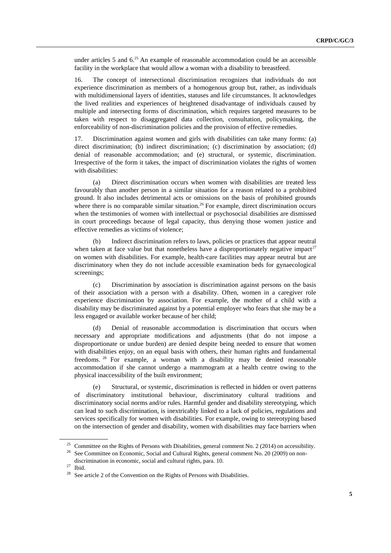under articles 5 and  $6<sup>25</sup>$  An example of reasonable accommodation could be an accessible facility in the workplace that would allow a woman with a disability to breastfeed.

16. The concept of intersectional discrimination recognizes that individuals do not experience discrimination as members of a homogenous group but, rather, as individuals with multidimensional layers of identities, statuses and life circumstances. It acknowledges the lived realities and experiences of heightened disadvantage of individuals caused by multiple and intersecting forms of discrimination, which requires targeted measures to be taken with respect to disaggregated data collection, consultation, policymaking, the enforceability of non-discrimination policies and the provision of effective remedies.

17. Discrimination against women and girls with disabilities can take many forms: (a) direct discrimination; (b) indirect discrimination; (c) discrimination by association; (d) denial of reasonable accommodation; and (e) structural, or systemic, discrimination. Irrespective of the form it takes, the impact of discrimination violates the rights of women with disabilities:

(a) Direct discrimination occurs when women with disabilities are treated less favourably than another person in a similar situation for a reason related to a prohibited ground. It also includes detrimental acts or omissions on the basis of prohibited grounds where there is no comparable similar situation.<sup>26</sup> For example, direct discrimination occurs when the testimonies of women with intellectual or psychosocial disabilities are dismissed in court proceedings because of legal capacity, thus denying those women justice and effective remedies as victims of violence;

(b) Indirect discrimination refers to laws, policies or practices that appear neutral when taken at face value but that nonetheless have a disproportionately negative impact<sup>27</sup> on women with disabilities. For example, health-care facilities may appear neutral but are discriminatory when they do not include accessible examination beds for gynaecological screenings;

(c) Discrimination by association is discrimination against persons on the basis of their association with a person with a disability. Often, women in a caregiver role experience discrimination by association. For example, the mother of a child with a disability may be discriminated against by a potential employer who fears that she may be a less engaged or available worker because of her child;

(d) Denial of reasonable accommodation is discrimination that occurs when necessary and appropriate modifications and adjustments (that do not impose a disproportionate or undue burden) are denied despite being needed to ensure that women with disabilities enjoy, on an equal basis with others, their human rights and fundamental freedoms. <sup>28</sup> For example, a woman with a disability may be denied reasonable accommodation if she cannot undergo a mammogram at a health centre owing to the physical inaccessibility of the built environment;

(e) Structural, or systemic, discrimination is reflected in hidden or overt patterns of discriminatory institutional behaviour, discriminatory cultural traditions and discriminatory social norms and/or rules. Harmful gender and disability stereotyping, which can lead to such discrimination, is inextricably linked to a lack of policies, regulations and services specifically for women with disabilities. For example, owing to stereotyping based on the intersection of gender and disability, women with disabilities may face barriers when

<sup>&</sup>lt;sup>25</sup> Committee on the Rights of Persons with Disabilities, general comment No. 2 (2014) on accessibility.

<sup>&</sup>lt;sup>26</sup> See Committee on Economic, Social and Cultural Rights, general comment No. 20 (2009) on nondiscrimination in economic, social and cultural rights, para. 10.

 $\frac{27}{28}$  Ibid.

See article 2 of the Convention on the Rights of Persons with Disabilities.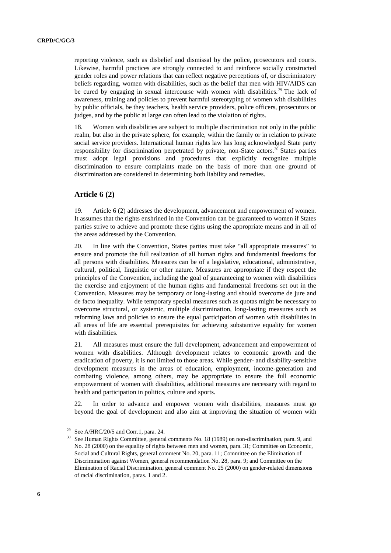reporting violence, such as disbelief and dismissal by the police, prosecutors and courts. Likewise, harmful practices are strongly connected to and reinforce socially constructed gender roles and power relations that can reflect negative perceptions of, or discriminatory beliefs regarding, women with disabilities, such as the belief that men with HIV/AIDS can be cured by engaging in sexual intercourse with women with disabilities.<sup>29</sup> The lack of awareness, training and policies to prevent harmful stereotyping of women with disabilities by public officials, be they teachers, health service providers, police officers, prosecutors or judges, and by the public at large can often lead to the violation of rights.

18. Women with disabilities are subject to multiple discrimination not only in the public realm, but also in the private sphere, for example, within the family or in relation to private social service providers. International human rights law has long acknowledged State party responsibility for discrimination perpetrated by private, non-State actors.<sup>30</sup> States parties must adopt legal provisions and procedures that explicitly recognize multiple discrimination to ensure complaints made on the basis of more than one ground of discrimination are considered in determining both liability and remedies.

### **Article 6 (2)**

19. Article 6 (2) addresses the development, advancement and empowerment of women. It assumes that the rights enshrined in the Convention can be guaranteed to women if States parties strive to achieve and promote these rights using the appropriate means and in all of the areas addressed by the Convention.

20. In line with the Convention, States parties must take "all appropriate measures" to ensure and promote the full realization of all human rights and fundamental freedoms for all persons with disabilities. Measures can be of a legislative, educational, administrative, cultural, political, linguistic or other nature. Measures are appropriate if they respect the principles of the Convention, including the goal of guaranteeing to women with disabilities the exercise and enjoyment of the human rights and fundamental freedoms set out in the Convention. Measures may be temporary or long-lasting and should overcome de jure and de facto inequality. While temporary special measures such as quotas might be necessary to overcome structural, or systemic, multiple discrimination, long-lasting measures such as reforming laws and policies to ensure the equal participation of women with disabilities in all areas of life are essential prerequisites for achieving substantive equality for women with disabilities.

21. All measures must ensure the full development, advancement and empowerment of women with disabilities. Although development relates to economic growth and the eradication of poverty, it is not limited to those areas. While gender- and disability-sensitive development measures in the areas of education, employment, income-generation and combating violence, among others, may be appropriate to ensure the full economic empowerment of women with disabilities, additional measures are necessary with regard to health and participation in politics, culture and sports.

22. In order to advance and empower women with disabilities, measures must go beyond the goal of development and also aim at improving the situation of women with

<sup>&</sup>lt;sup>29</sup> See A/HRC/20/5 and Corr.1, para. 24.

See Human Rights Committee, general comments No. 18 (1989) on non-discrimination, para. 9, and No. 28 (2000) on the equality of rights between men and women, para. 31; Committee on Economic, Social and Cultural Rights, general comment No. 20, para. 11; Committee on the Elimination of Discrimination against Women, general recommendation No. 28, para. 9; and Committee on the Elimination of Racial Discrimination, general comment No. 25 (2000) on gender-related dimensions of racial discrimination, paras. 1 and 2.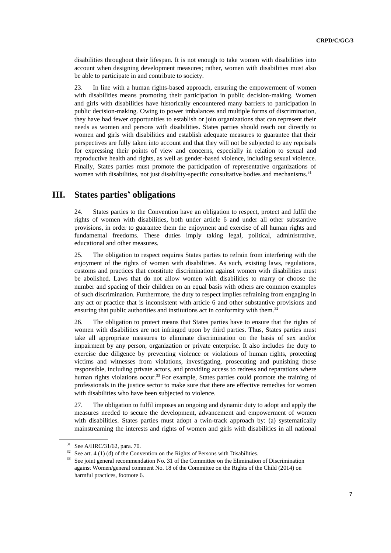disabilities throughout their lifespan. It is not enough to take women with disabilities into account when designing development measures; rather, women with disabilities must also be able to participate in and contribute to society.

23. In line with a human rights-based approach, ensuring the empowerment of women with disabilities means promoting their participation in public decision-making. Women and girls with disabilities have historically encountered many barriers to participation in public decision-making. Owing to power imbalances and multiple forms of discrimination, they have had fewer opportunities to establish or join organizations that can represent their needs as women and persons with disabilities. States parties should reach out directly to women and girls with disabilities and establish adequate measures to guarantee that their perspectives are fully taken into account and that they will not be subjected to any reprisals for expressing their points of view and concerns, especially in relation to sexual and reproductive health and rights, as well as gender-based violence, including sexual violence. Finally, States parties must promote the participation of representative organizations of women with disabilities, not just disability-specific consultative bodies and mechanisms.<sup>31</sup>

## **III. States parties' obligations**

24. States parties to the Convention have an obligation to respect, protect and fulfil the rights of women with disabilities, both under article 6 and under all other substantive provisions, in order to guarantee them the enjoyment and exercise of all human rights and fundamental freedoms. These duties imply taking legal, political, administrative, educational and other measures.

25. The obligation to respect requires States parties to refrain from interfering with the enjoyment of the rights of women with disabilities. As such, existing laws, regulations, customs and practices that constitute discrimination against women with disabilities must be abolished. Laws that do not allow women with disabilities to marry or choose the number and spacing of their children on an equal basis with others are common examples of such discrimination. Furthermore, the duty to respect implies refraining from engaging in any act or practice that is inconsistent with article 6 and other substantive provisions and ensuring that public authorities and institutions act in conformity with them.<sup>32</sup>

26. The obligation to protect means that States parties have to ensure that the rights of women with disabilities are not infringed upon by third parties. Thus, States parties must take all appropriate measures to eliminate discrimination on the basis of sex and/or impairment by any person, organization or private enterprise. It also includes the duty to exercise due diligence by preventing violence or violations of human rights, protecting victims and witnesses from violations, investigating, prosecuting and punishing those responsible, including private actors, and providing access to redress and reparations where human rights violations occur.<sup>33</sup> For example, States parties could promote the training of professionals in the justice sector to make sure that there are effective remedies for women with disabilities who have been subjected to violence.

27. The obligation to fulfil imposes an ongoing and dynamic duty to adopt and apply the measures needed to secure the development, advancement and empowerment of women with disabilities. States parties must adopt a twin-track approach by: (a) systematically mainstreaming the interests and rights of women and girls with disabilities in all national

<sup>31</sup> See A/HRC/31/62, para. 70.

 $32$  See art. 4 (1) (d) of the Convention on the Rights of Persons with Disabilities.

<sup>&</sup>lt;sup>33</sup> See joint general recommendation No. 31 of the Committee on the Elimination of Discrimination against Women/general comment No. 18 of the Committee on the Rights of the Child (2014) on harmful practices, footnote 6.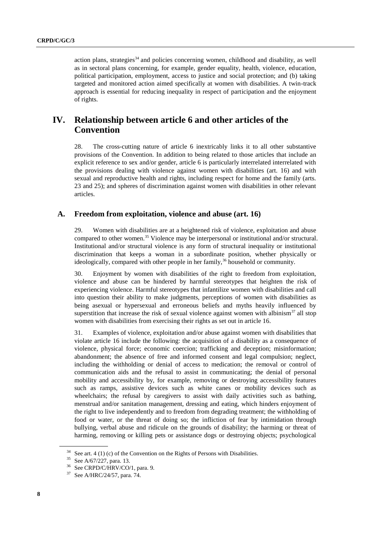action plans, strategies $34$  and policies concerning women, childhood and disability, as well as in sectoral plans concerning, for example, gender equality, health, violence, education, political participation, employment, access to justice and social protection; and (b) taking targeted and monitored action aimed specifically at women with disabilities. A twin-track approach is essential for reducing inequality in respect of participation and the enjoyment of rights.

## **IV. Relationship between article 6 and other articles of the Convention**

28. The cross-cutting nature of article 6 inextricably links it to all other substantive provisions of the Convention. In addition to being related to those articles that include an explicit reference to sex and/or gender, article 6 is particularly interrelated interrelated with the provisions dealing with violence against women with disabilities (art. 16) and with sexual and reproductive health and rights, including respect for home and the family (arts. 23 and 25); and spheres of discrimination against women with disabilities in other relevant articles.

### **A. Freedom from exploitation, violence and abuse (art. 16)**

29. Women with disabilities are at a heightened risk of violence, exploitation and abuse compared to other women.<sup>35</sup> Violence may be interpersonal or institutional and/or structural. Institutional and/or structural violence is any form of structural inequality or institutional discrimination that keeps a woman in a subordinate position, whether physically or ideologically, compared with other people in her family,  $36$  household or community.

30. Enjoyment by women with disabilities of the right to freedom from exploitation, violence and abuse can be hindered by harmful stereotypes that heighten the risk of experiencing violence. Harmful stereotypes that infantilize women with disabilities and call into question their ability to make judgments, perceptions of women with disabilities as being asexual or hypersexual and erroneous beliefs and myths heavily influenced by superstition that increase the risk of sexual violence against women with albinism<sup>37</sup> all stop women with disabilities from exercising their rights as set out in article 16.

31. Examples of violence, exploitation and/or abuse against women with disabilities that violate article 16 include the following: the acquisition of a disability as a consequence of violence, physical force; economic coercion; trafficking and deception; misinformation; abandonment; the absence of free and informed consent and legal compulsion; neglect, including the withholding or denial of access to medication; the removal or control of communication aids and the refusal to assist in communicating; the denial of personal mobility and accessibility by, for example, removing or destroying accessibility features such as ramps, assistive devices such as white canes or mobility devices such as wheelchairs; the refusal by caregivers to assist with daily activities such as bathing, menstrual and/or sanitation management, dressing and eating, which hinders enjoyment of the right to live independently and to freedom from degrading treatment; the withholding of food or water, or the threat of doing so; the infliction of fear by intimidation through bullying, verbal abuse and ridicule on the grounds of disability; the harming or threat of harming, removing or killing pets or assistance dogs or destroying objects; psychological

 $34$  See art. 4 (1) (c) of the Convention on the Rights of Persons with Disabilities.

<sup>35</sup> See A/67/227, para. 13.

<sup>36</sup> See CRPD/C/HRV/CO/1, para. 9.

<sup>37</sup> See A/HRC/24/57, para. 74.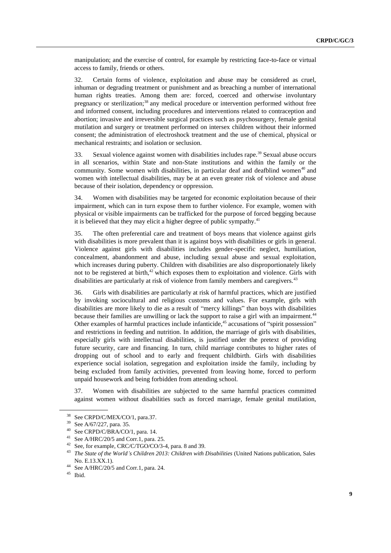manipulation; and the exercise of control, for example by restricting face-to-face or virtual access to family, friends or others.

32. Certain forms of violence, exploitation and abuse may be considered as cruel, inhuman or degrading treatment or punishment and as breaching a number of international human rights treaties. Among them are: forced, coerced and otherwise involuntary pregnancy or sterilization;<sup>38</sup> any medical procedure or intervention performed without free and informed consent, including procedures and interventions related to contraception and abortion; invasive and irreversible surgical practices such as psychosurgery, female genital mutilation and surgery or treatment performed on intersex children without their informed consent; the administration of electroshock treatment and the use of chemical, physical or mechanical restraints; and isolation or seclusion.

33. Sexual violence against women with disabilities includes rape.<sup>39</sup> Sexual abuse occurs in all scenarios, within State and non-State institutions and within the family or the community. Some women with disabilities, in particular deaf and deafblind women<sup>40</sup> and women with intellectual disabilities, may be at an even greater risk of violence and abuse because of their isolation, dependency or oppression.

34. Women with disabilities may be targeted for economic exploitation because of their impairment, which can in turn expose them to further violence. For example, women with physical or visible impairments can be trafficked for the purpose of forced begging because it is believed that they may elicit a higher degree of public sympathy.<sup>41</sup>

35. The often preferential care and treatment of boys means that violence against girls with disabilities is more prevalent than it is against boys with disabilities or girls in general. Violence against girls with disabilities includes gender-specific neglect, humiliation, concealment, abandonment and abuse, including sexual abuse and sexual exploitation, which increases during puberty. Children with disabilities are also disproportionately likely not to be registered at birth, $42$  which exposes them to exploitation and violence. Girls with disabilities are particularly at risk of violence from family members and caregivers.<sup>43</sup>

36. Girls with disabilities are particularly at risk of harmful practices, which are justified by invoking sociocultural and religious customs and values. For example, girls with disabilities are more likely to die as a result of "mercy killings" than boys with disabilities because their families are unwilling or lack the support to raise a girl with an impairment.<sup>44</sup> Other examples of harmful practices include infanticide,<sup>45</sup> accusations of "spirit possession" and restrictions in feeding and nutrition. In addition, the marriage of girls with disabilities, especially girls with intellectual disabilities, is justified under the pretext of providing future security, care and financing. In turn, child marriage contributes to higher rates of dropping out of school and to early and frequent childbirth. Girls with disabilities experience social isolation, segregation and exploitation inside the family, including by being excluded from family activities, prevented from leaving home, forced to perform unpaid housework and being forbidden from attending school.

37. Women with disabilities are subjected to the same harmful practices committed against women without disabilities such as forced marriage, female genital mutilation,

<sup>&</sup>lt;sup>38</sup> See CRPD/C/MEX/CO/1, para.37.<br><sup>39</sup> See A/GJ/227 name 25

<sup>&</sup>lt;sup>39</sup> See A/67/227, para. 35.

<sup>&</sup>lt;sup>40</sup> See CRPD/C/BRA/CO/1, para. 14.

<sup>&</sup>lt;sup>41</sup> [See](http://www2.ohchr.org/english/issues/women/docs/A.HRC.20.5.pdf) A/HRC/20/5 and Corr.1, para. 25.

See, for example, CRC/C/TGO/CO/3-4, para. 8 and 39.

<sup>43</sup> *The State of the World's Children 2013: Children with Disabilities* (United Nations publication, Sales No. E.13.XX.1).

<sup>44</sup> [See](http://www2.ohchr.org/english/issues/women/docs/A.HRC.20.5.pdf) A/HRC/20/5 and Corr.1, para. 24.

 $^{45}$  Ibid.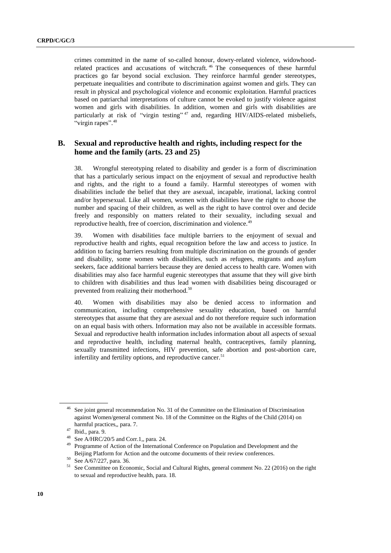crimes committed in the name of so-called honour, dowry-related violence, widowhoodrelated practices and accusations of witchcraft.<sup>46</sup> The consequences of these harmful practices go far beyond social exclusion. They reinforce harmful gender stereotypes, perpetuate inequalities and contribute to discrimination against women and girls. They can result in physical and psychological violence and economic exploitation. Harmful practices based on patriarchal interpretations of culture cannot be evoked to justify violence against women and girls with disabilities. In addition, women and girls with disabilities are particularly at risk of "virgin testing"<sup>47</sup> and, regarding HIV/AIDS-related misbeliefs, "virgin rapes".<sup>48</sup>

### **B. Sexual and reproductive health and rights, including respect for the home and the family (arts. 23 and 25)**

38. Wrongful stereotyping related to disability and gender is a form of discrimination that has a particularly serious impact on the enjoyment of sexual and reproductive health and rights, and the right to a found a family. Harmful stereotypes of women with disabilities include the belief that they are asexual, incapable, irrational, lacking control and/or hypersexual. Like all women, women with disabilities have the right to choose the number and spacing of their children, as well as the right to have control over and decide freely and responsibly on matters related to their sexuality, including sexual and reproductive health, free of coercion, discrimination and violence.<sup>49</sup>

39. Women with disabilities face multiple barriers to the enjoyment of sexual and reproductive health and rights, equal recognition before the law and access to justice. In addition to facing barriers resulting from multiple discrimination on the grounds of gender and disability, some women with disabilities, such as refugees, migrants and asylum seekers, face additional barriers because they are denied access to health care. Women with disabilities may also face harmful eugenic stereotypes that assume that they will give birth to children with disabilities and thus lead women with disabilities being discouraged or prevented from realizing their motherhood.<sup>50</sup>

40. Women with disabilities may also be denied access to information and communication, including comprehensive sexuality education, based on harmful stereotypes that assume that they are asexual and do not therefore require such information on an equal basis with others. Information may also not be available in accessible formats. Sexual and reproductive health information includes information about all aspects of sexual and reproductive health, including maternal health, contraceptives, family planning, sexually transmitted infections, HIV prevention, safe abortion and post-abortion care, infertility and fertility options, and reproductive cancer.<sup>51</sup>

<sup>&</sup>lt;sup>46</sup> See joint general recommendation No. 31 of the Committee on the Elimination of Discrimination against Women/general comment No. 18 of the Committee on the Rights of the Child (2014) on harmful practices,, para. 7.

 $^{47}$  Ibid., para. 9.

[See](http://www2.ohchr.org/english/issues/women/docs/A.HRC.20.5.pdf) A/HRC/20/5 and Corr.1,, para. 24.

<sup>49</sup> Programme of Action of the International Conference on Population and Development and the Beijing Platform for Action and the outcome documents of their review conferences.

<sup>50</sup> See A/67/227, para. 36.

<sup>&</sup>lt;sup>51</sup> See Committee on Economic, Social and Cultural Rights, general comment No. 22 (2016) on the right to sexual and reproductive health, para. 18.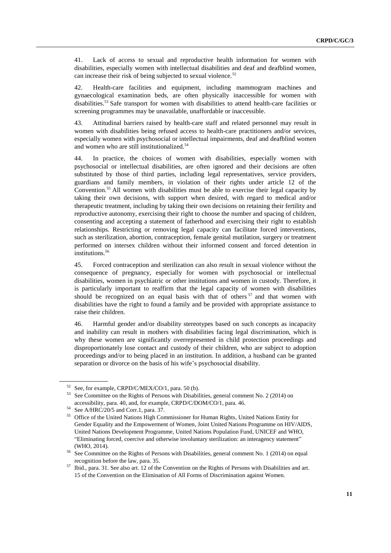41. Lack of access to sexual and reproductive health information for women with disabilities, especially women with intellectual disabilities and deaf and deafblind women, can increase their risk of being subjected to sexual violence.<sup>52</sup>

42. Health-care facilities and equipment, including mammogram machines and gynaecological examination beds, are often physically inaccessible for women with disabilities.<sup>53</sup> Safe transport for women with disabilities to attend health-care facilities or screening programmes may be unavailable, unaffordable or inaccessible.

43. Attitudinal barriers raised by health-care staff and related personnel may result in women with disabilities being refused access to health-care practitioners and/or services, especially women with psychosocial or intellectual impairments, deaf and deafblind women and women who are still institutionalized.<sup>54</sup>

44. In practice, the choices of women with disabilities, especially women with psychosocial or intellectual disabilities, are often ignored and their decisions are often substituted by those of third parties, including legal representatives, service providers, guardians and family members, in violation of their rights under article 12 of the Convention.<sup>55</sup> All women with disabilities must be able to exercise their legal capacity by taking their own decisions, with support when desired, with regard to medical and/or therapeutic treatment, including by taking their own decisions on retaining their fertility and reproductive autonomy, exercising their right to choose the number and spacing of children, consenting and accepting a statement of fatherhood and exercising their right to establish relationships. Restricting or removing legal capacity can facilitate forced interventions, such as sterilization, abortion, contraception, female genital mutilation, surgery or treatment performed on intersex children without their informed consent and forced detention in institutions.<sup>56</sup>

45. Forced contraception and sterilization can also result in sexual violence without the consequence of pregnancy, especially for women with psychosocial or intellectual disabilities, women in psychiatric or other institutions and women in custody. Therefore, it is particularly important to reaffirm that the legal capacity of women with disabilities should be recognized on an equal basis with that of others  $57$  and that women with disabilities have the right to found a family and be provided with appropriate assistance to raise their children.

46. Harmful gender and/or disability stereotypes based on such concepts as incapacity and inability can result in mothers with disabilities facing legal discrimination, which is why these women are significantly overrepresented in child protection proceedings and disproportionately lose contact and custody of their children, who are subject to adoption proceedings and/or to being placed in an institution. In addition, a husband can be granted separation or divorce on the basis of his wife's psychosocial disability.

<sup>&</sup>lt;sup>52</sup> See, for example, CRPD/C/MEX/CO/1, para. 50 (b).

<sup>53</sup> See Committee on the Rights of Persons with Disabilities, general comment No. 2 (2014) on accessibility, para. 40, and, for example, CRPD/C/DOM/CO/1, para. 46.

See A/HRC/20/5 and Corr.1, para. 37.

<sup>&</sup>lt;sup>55</sup> Office of the United Nations High Commissioner for Human Rights, United Nations Entity for Gender Equality and the Empowerment of Women, Joint United Nations Programme on HIV/AIDS, United Nations Development Programme, United Nations Population Fund, UNICEF and WHO, "Eliminating forced, coercive and otherwise involuntary sterilization: an interagency statement" (WHO, 2014).

See Committee on the Rights of Persons with Disabilities, general comment No. 1 (2014) on equal recognition before the law, para. 35.

 $57$  Ibid., para. 31. See also art. 12 of the Convention on the Rights of Persons with Disabilities and art. 15 of the Convention on the Elimination of All Forms of Discrimination against Women.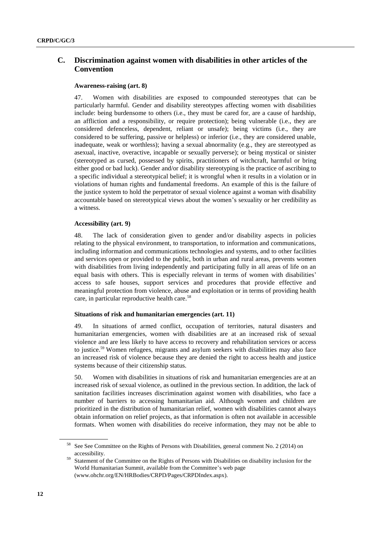## **C. Discrimination against women with disabilities in other articles of the Convention**

#### **Awareness-raising (art. 8)**

47. Women with disabilities are exposed to compounded stereotypes that can be particularly harmful. Gender and disability stereotypes affecting women with disabilities include: being burdensome to others (i.e., they must be cared for, are a cause of hardship, an affliction and a responsibility, or require protection); being vulnerable (i.e., they are considered defenceless, dependent, reliant or unsafe); being victims (i.e., they are considered to be suffering, passive or helpless) or inferior (i.e., they are considered unable, inadequate, weak or worthless); having a sexual abnormality (e.g., they are stereotyped as asexual, inactive, overactive, incapable or sexually perverse); or being mystical or sinister (stereotyped as cursed, possessed by spirits, practitioners of witchcraft, harmful or bring either good or bad luck). Gender and/or disability stereotyping is the practice of ascribing to a specific individual a stereotypical belief; it is wrongful when it results in a violation or in violations of human rights and fundamental freedoms. An example of this is the failure of the justice system to hold the perpetrator of sexual violence against a woman with disability accountable based on stereotypical views about the women's sexuality or her credibility as a witness.

#### **Accessibility (art. 9)**

48. The lack of consideration given to gender and/or disability aspects in policies relating to the physical environment, to transportation, to information and communications, including information and communications technologies and systems, and to other facilities and services open or provided to the public, both in urban and rural areas, prevents women with disabilities from living independently and participating fully in all areas of life on an equal basis with others. This is especially relevant in terms of women with disabilities' access to safe houses, support services and procedures that provide effective and meaningful protection from violence, abuse and exploitation or in terms of providing health care, in particular reproductive health care.<sup>58</sup>

#### **Situations of risk and humanitarian emergencies (art. 11)**

49. In situations of armed conflict, occupation of territories, natural disasters and humanitarian emergencies, women with disabilities are at an increased risk of sexual violence and are less likely to have access to recovery and rehabilitation services or access to justice.<sup>59</sup> Women refugees, migrants and asylum seekers with disabilities may also face an increased risk of violence because they are denied the right to access health and justice systems because of their citizenship status.

50. Women with disabilities in situations of risk and humanitarian emergencies are at an increased risk of sexual violence, as outlined in the previous section. In addition, the lack of sanitation facilities increases discrimination against women with disabilities, who face a number of barriers to accessing humanitarian aid. Although women and children are prioritized in the distribution of humanitarian relief, women with disabilities cannot always obtain information on relief projects, as that information is often not available in accessible formats. When women with disabilities do receive information, they may not be able to

<sup>&</sup>lt;sup>58</sup> See See Committee on the Rights of Persons with Disabilities, general comment No. 2 (2014) on accessibility.

Statement of the Committee on the Rights of Persons with Disabilities on disability inclusion for the World Humanitarian Summit, available from the Committee's web page (www.ohchr.org/EN/HRBodies/CRPD/Pages/CRPDIndex.aspx).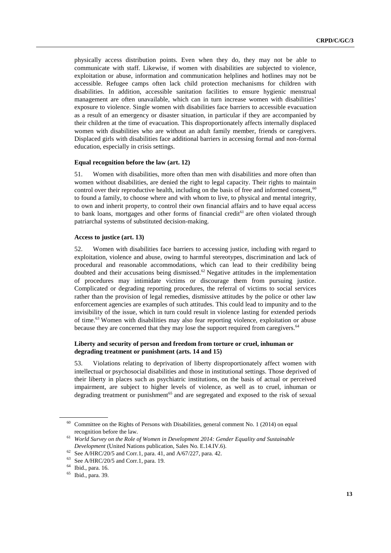physically access distribution points. Even when they do, they may not be able to communicate with staff. Likewise, if women with disabilities are subjected to violence, exploitation or abuse, information and communication helplines and hotlines may not be accessible. Refugee camps often lack child protection mechanisms for children with disabilities. In addition, accessible sanitation facilities to ensure hygienic menstrual management are often unavailable, which can in turn increase women with disabilities' exposure to violence. Single women with disabilities face barriers to accessible evacuation as a result of an emergency or disaster situation, in particular if they are accompanied by their children at the time of evacuation. This disproportionately affects internally displaced women with disabilities who are without an adult family member, friends or caregivers. Displaced girls with disabilities face additional barriers in accessing formal and non-formal education, especially in crisis settings.

#### **Equal recognition before the law (art. 12)**

51. Women with disabilities, more often than men with disabilities and more often than women without disabilities, are denied the right to legal capacity. Their rights to maintain control over their reproductive health, including on the basis of free and informed consent, $60$ to found a family, to choose where and with whom to live, to physical and mental integrity, to own and inherit property, to control their own financial affairs and to have equal access to bank loans, mortgages and other forms of financial credit<sup> $61$ </sup> are often violated through patriarchal systems of substituted decision-making.

#### **Access to justice (art. 13)**

52. Women with disabilities face barriers to accessing justice, including with regard to exploitation, violence and abuse, owing to harmful stereotypes, discrimination and lack of procedural and reasonable accommodations, which can lead to their credibility being doubted and their accusations being dismissed.<sup>62</sup> Negative attitudes in the implementation of procedures may intimidate victims or discourage them from pursuing justice. Complicated or degrading reporting procedures, the referral of victims to social services rather than the provision of legal remedies, dismissive attitudes by the police or other law enforcement agencies are examples of such attitudes. This could lead to impunity and to the invisibility of the issue, which in turn could result in violence lasting for extended periods of time.<sup>63</sup> Women with disabilities may also fear reporting violence, exploitation or abuse because they are concerned that they may lose the support required from caregivers.<sup>64</sup>

#### **Liberty and security of person and freedom from torture or cruel, inhuman or degrading treatment or punishment (arts. 14 and 15)**

53. Violations relating to deprivation of liberty disproportionately affect women with intellectual or psychosocial disabilities and those in institutional settings. Those deprived of their liberty in places such as psychiatric institutions, on the basis of actual or perceived impairment, are subject to higher levels of violence, as well as to cruel, inhuman or degrading treatment or punishment<sup>65</sup> and are segregated and exposed to the risk of sexual

 $60$  Committee on the Rights of Persons with Disabilities, general comment No. 1 (2014) on equal recognition before the law.

<sup>61</sup> *World Survey on the Role of Women in Development 2014: Gender Equality and Sustainable Development* (United Nations publication, Sales No. E.14.IV.6).

<sup>&</sup>lt;sup>62</sup> See A/HRC/20/5 and Corr.1, para. 41, and A/67/227, para. 42.

 $^{63}$  See A/HRC/20/5 and Corr.1, para. 19.

Ibid., para. 16.

<sup>65</sup> Ibid., para. 39.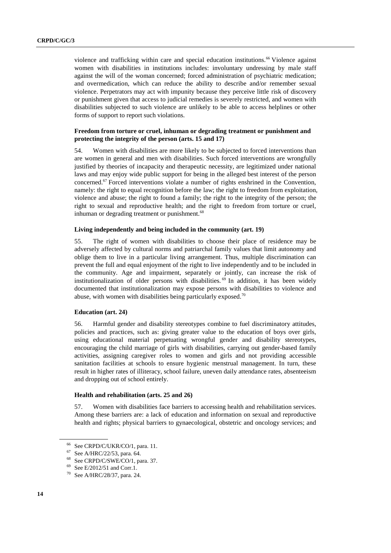violence and trafficking within care and special education institutions.<sup>66</sup> Violence against women with disabilities in institutions includes: involuntary undressing by male staff against the will of the woman concerned; forced administration of psychiatric medication; and overmedication, which can reduce the ability to describe and/or remember sexual violence. Perpetrators may act with impunity because they perceive little risk of discovery or punishment given that access to judicial remedies is severely restricted, and women with disabilities subjected to such violence are unlikely to be able to access helplines or other forms of support to report such violations.

#### **Freedom from torture or cruel, inhuman or degrading treatment or punishment and protecting the integrity of the person (arts. 15 and 17)**

54. Women with disabilities are more likely to be subjected to forced interventions than are women in general and men with disabilities. Such forced interventions are wrongfully justified by theories of incapacity and therapeutic necessity, are legitimized under national laws and may enjoy wide public support for being in the alleged best interest of the person concerned.<sup>67</sup> Forced interventions violate a number of rights enshrined in the Convention, namely: the right to equal recognition before the law; the right to freedom from exploitation, violence and abuse; the right to found a family; the right to the integrity of the person; the right to sexual and reproductive health; and the right to freedom from torture or cruel, inhuman or degrading treatment or punishment.<sup>68</sup>

#### **Living independently and being included in the community (art. 19)**

55. The right of women with disabilities to choose their place of residence may be adversely affected by cultural norms and patriarchal family values that limit autonomy and oblige them to live in a particular living arrangement. Thus, multiple discrimination can prevent the full and equal enjoyment of the right to live independently and to be included in the community. Age and impairment, separately or jointly, can increase the risk of institutionalization of older persons with disabilities.<sup>69</sup> In addition, it has been widely documented that institutionalization may expose persons with disabilities to violence and abuse, with women with disabilities being particularly exposed.<sup>70</sup>

#### **Education (art. 24)**

56. Harmful gender and disability stereotypes combine to fuel discriminatory attitudes, policies and practices, such as: giving greater value to the education of boys over girls, using educational material perpetuating wrongful gender and disability stereotypes, encouraging the child marriage of girls with disabilities, carrying out gender-based family activities, assigning caregiver roles to women and girls and not providing accessible sanitation facilities at schools to ensure hygienic menstrual management. In turn, these result in higher rates of illiteracy, school failure, uneven daily attendance rates, absenteeism and dropping out of school entirely.

#### **Health and rehabilitation (arts. 25 and 26)**

57. Women with disabilities face barriers to accessing health and rehabilitation services. Among these barriers are: a lack of education and information on sexual and reproductive health and rights; physical barriers to gynaecological, obstetric and oncology services; and

<sup>66</sup> See CRPD/C/UKR/CO/1, para. 11.

<sup>67</sup> See A/HRC/22/53, para. 64.

See CRPD/C/SWE/CO/1, para. 37.

<sup>69</sup> See E/2012/51 and Corr.1.

<sup>70</sup> See A/HRC/28/37, para. 24.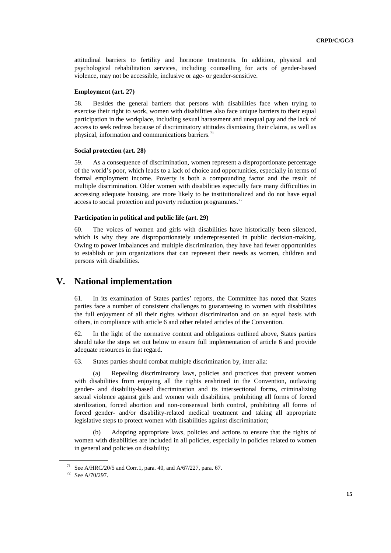attitudinal barriers to fertility and hormone treatments. In addition, physical and psychological rehabilitation services, including counselling for acts of gender-based violence, may not be accessible, inclusive or age- or gender-sensitive.

#### **Employment (art. 27)**

58. Besides the general barriers that persons with disabilities face when trying to exercise their right to work, women with disabilities also face unique barriers to their equal participation in the workplace, including sexual harassment and unequal pay and the lack of access to seek redress because of discriminatory attitudes dismissing their claims, as well as physical, information and communications barriers.<sup>71</sup>

#### **Social protection (art. 28)**

59. As a consequence of discrimination, women represent a disproportionate percentage of the world's poor, which leads to a lack of choice and opportunities, especially in terms of formal employment income. Poverty is both a compounding factor and the result of multiple discrimination. Older women with disabilities especially face many difficulties in accessing adequate housing, are more likely to be institutionalized and do not have equal access to social protection and poverty reduction programmes.<sup>72</sup>

#### **Participation in political and public life (art. 29)**

60. The voices of women and girls with disabilities have historically been silenced, which is why they are disproportionately underrepresented in public decision-making. Owing to power imbalances and multiple discrimination, they have had fewer opportunities to establish or join organizations that can represent their needs as women, children and persons with disabilities.

## **V. National implementation**

61. In its examination of States parties' reports, the Committee has noted that States parties face a number of consistent challenges to guaranteeing to women with disabilities the full enjoyment of all their rights without discrimination and on an equal basis with others, in compliance with article 6 and other related articles of the Convention.

62. In the light of the normative content and obligations outlined above, States parties should take the steps set out below to ensure full implementation of article 6 and provide adequate resources in that regard.

63. States parties should combat multiple discrimination by, inter alia:

(a) Repealing discriminatory laws, policies and practices that prevent women with disabilities from enjoying all the rights enshrined in the Convention, outlawing gender- and disability-based discrimination and its intersectional forms, criminalizing sexual violence against girls and women with disabilities, prohibiting all forms of forced sterilization, forced abortion and non-consensual birth control, prohibiting all forms of forced gender- and/or disability-related medical treatment and taking all appropriate legislative steps to protect women with disabilities against discrimination;

(b) Adopting appropriate laws, policies and actions to ensure that the rights of women with disabilities are included in all policies, especially in policies related to women in general and policies on disability;

<sup>&</sup>lt;sup>71</sup> See A/HRC/20/5 and Corr.1, para. 40, and A/67/227, para. 67.

<sup>72</sup> See A/70/297.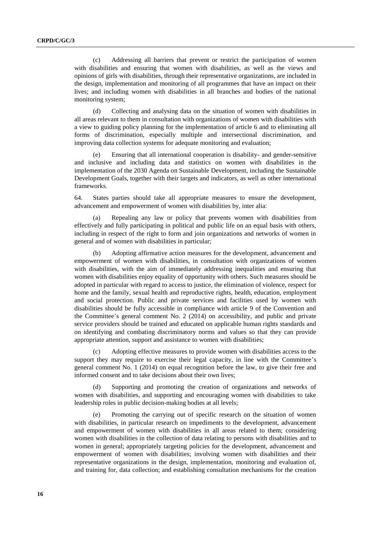(c) Addressing all barriers that prevent or restrict the participation of women with disabilities and ensuring that women with disabilities, as well as the views and opinions of girls with disabilities, through their representative organizations, are included in the design, implementation and monitoring of all programmes that have an impact on their lives; and including women with disabilities in all branches and bodies of the national monitoring system;

(d) Collecting and analysing data on the situation of women with disabilities in all areas relevant to them in consultation with organizations of women with disabilities with a view to guiding policy planning for the implementation of article 6 and to eliminating all forms of discrimination, especially multiple and intersectional discrimination, and improving data collection systems for adequate monitoring and evaluation;

Ensuring that all international cooperation is disability- and gender-sensitive and inclusive and including data and statistics on women with disabilities in the implementation of the 2030 Agenda on Sustainable Development, including the Sustainable Development Goals, together with their targets and indicators, as well as other international frameworks.

64. States parties should take all appropriate measures to ensure the development, advancement and empowerment of women with disabilities by, inter alia:

Repealing any law or policy that prevents women with disabilities from effectively and fully participating in political and public life on an equal basis with others, including in respect of the right to form and join organizations and networks of women in general and of women with disabilities in particular;

(b) Adopting affirmative action measures for the development, advancement and empowerment of women with disabilities, in consultation with organizations of women with disabilities, with the aim of immediately addressing inequalities and ensuring that women with disabilities enjoy equality of opportunity with others. Such measures should be adopted in particular with regard to access to justice, the elimination of violence, respect for home and the family, sexual health and reproductive rights, health, education, employment and social protection. Public and private services and facilities used by women with disabilities should be fully accessible in compliance with article 9 of the Convention and the Committee's general comment No. 2 (2014) on accessibility, and public and private service providers should be trained and educated on applicable human rights standards and on identifying and combating discriminatory norms and values so that they can provide appropriate attention, support and assistance to women with disabilities;

(c) Adopting effective measures to provide women with disabilities access to the support they may require to exercise their legal capacity, in line with the Committee's general comment No. 1 (2014) on equal recognition before the law, to give their free and informed consent and to take decisions about their own lives;

(d) Supporting and promoting the creation of organizations and networks of women with disabilities, and supporting and encouraging women with disabilities to take leadership roles in public decision-making bodies at all levels;

(e) Promoting the carrying out of specific research on the situation of women with disabilities, in particular research on impediments to the development, advancement and empowerment of women with disabilities in all areas related to them; considering women with disabilities in the collection of data relating to persons with disabilities and to women in general; appropriately targeting policies for the development, advancement and empowerment of women with disabilities; involving women with disabilities and their representative organizations in the design, implementation, monitoring and evaluation of, and training for, data collection; and establishing consultation mechanisms for the creation